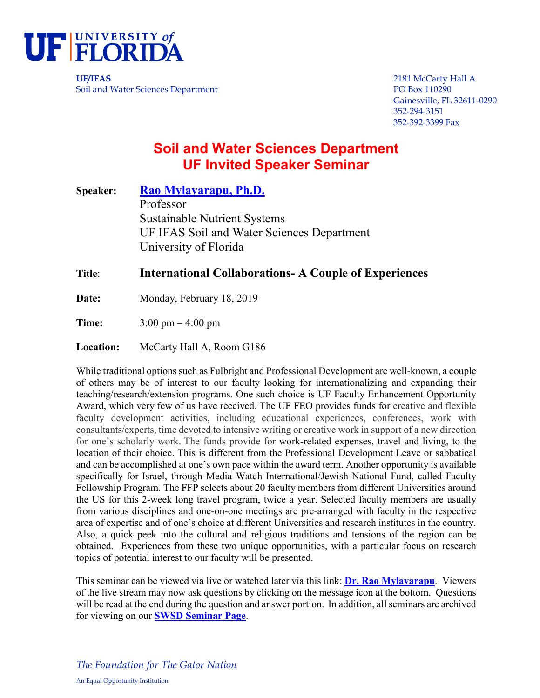

**UF/IFAS** 2181 McCarty Hall A Soil and Water Sciences Department PO Box 110290

Gainesville, FL 32611-0290 352-294-3151 352-392-3399 Fax

## **Soil and Water Sciences Department UF Invited Speaker Seminar**

**Speaker: [Rao Mylavarapu, Ph.D.](https://soils.ifas.ufl.edu/people/faculty/rao-s-mylavarapu/)** Professor Sustainable Nutrient Systems UF IFAS Soil and Water Sciences Department University of Florida

## **Title**: **International Collaborations- A Couple of Experiences**

Date: Monday, February 18, 2019

**Time:** 3:00 pm – 4:00 pm

**Location:** McCarty Hall A, Room G186

While traditional options such as Fulbright and Professional Development are well-known, a couple of others may be of interest to our faculty looking for internationalizing and expanding their teaching/research/extension programs. One such choice is UF Faculty Enhancement Opportunity Award, which very few of us have received. The UF FEO provides funds for creative and flexible faculty development activities, including educational experiences, conferences, work with consultants/experts, time devoted to intensive writing or creative work in support of a new direction for one's scholarly work. The funds provide for work-related expenses, travel and living, to the location of their choice. This is different from the Professional Development Leave or sabbatical and can be accomplished at one's own pace within the award term. Another opportunity is available specifically for Israel, through Media Watch International/Jewish National Fund, called Faculty Fellowship Program. The FFP selects about 20 faculty members from different Universities around the US for this 2-week long travel program, twice a year. Selected faculty members are usually from various disciplines and one-on-one meetings are pre-arranged with faculty in the respective area of expertise and of one's choice at different Universities and research institutes in the country. Also, a quick peek into the cultural and religious traditions and tensions of the region can be obtained. Experiences from these two unique opportunities, with a particular focus on research topics of potential interest to our faculty will be presented.

This seminar can be viewed via live or watched later via this link: **[Dr. Rao Mylavarapu](https://mediasite.video.ufl.edu/Mediasite/Play/ef49856b52064b6998265bb537aca7871d)**. Viewers of the live stream may now ask questions by clicking on the message icon at the bottom. Questions will be read at the end during the question and answer portion. In addition, all seminars are archived for viewing on our **[SWSD Seminar Page](http://soils.ifas.ufl.edu/academics/seminars/archives-all-seminars/)**.